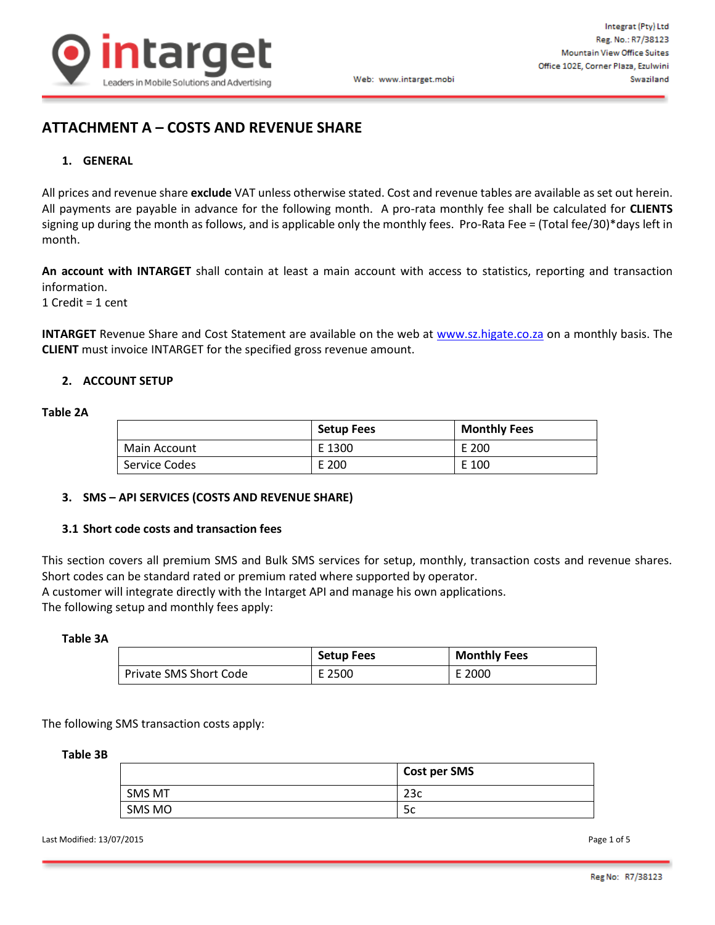

# **ATTACHMENT A – COSTS AND REVENUE SHARE**

### **1. GENERAL**

All prices and revenue share **exclude** VAT unless otherwise stated. Cost and revenue tables are available as set out herein. All payments are payable in advance for the following month. A pro-rata monthly fee shall be calculated for **CLIENTS** signing up during the month as follows, and is applicable only the monthly fees. Pro-Rata Fee = (Total fee/30)\*days left in month.

**An account with INTARGET** shall contain at least a main account with access to statistics, reporting and transaction information.

1 Credit = 1 cent

**INTARGET** Revenue Share and Cost Statement are available on the web at [www.sz.higate.co.za](http://redbox.integrat.co.za/) on a monthly basis. The **CLIENT** must invoice INTARGET for the specified gross revenue amount.

### **2. ACCOUNT SETUP**

### **Table 2A**

|               | <b>Setup Fees</b> | <b>Monthly Fees</b> |
|---------------|-------------------|---------------------|
| Main Account  | E 1300            | E 200               |
| Service Codes | E 200             | E 100               |

### **3. SMS – API SERVICES (COSTS AND REVENUE SHARE)**

### **3.1 Short code costs and transaction fees**

This section covers all premium SMS and Bulk SMS services for setup, monthly, transaction costs and revenue shares. Short codes can be standard rated or premium rated where supported by operator.

A customer will integrate directly with the Intarget API and manage his own applications.

The following setup and monthly fees apply:

#### **Table 3A**

|                        | <b>Setup Fees</b> | <b>Monthly Fees</b> |
|------------------------|-------------------|---------------------|
| Private SMS Short Code | E 2500            | E 2000              |

The following SMS transaction costs apply:

#### **Table 3B**

|        | Cost per SMS |
|--------|--------------|
| SMS MT | ີາລດ<br>ے ک  |
| SMS MO | 5c           |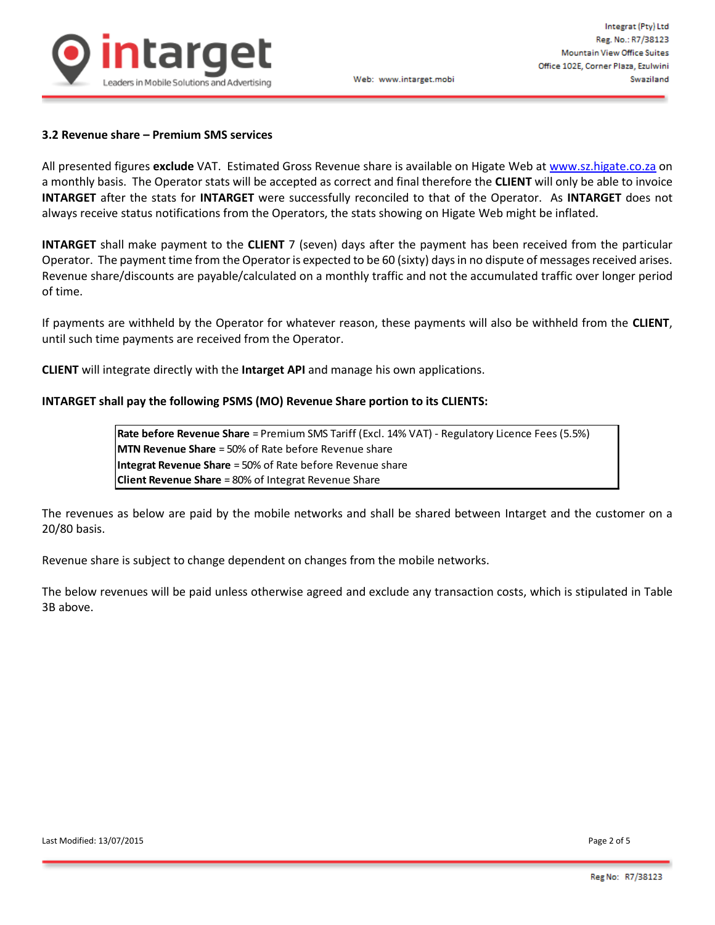

### **3.2 Revenue share – Premium SMS services**

All presented figures **exclude** VAT. Estimated Gross Revenue share is available on Higate Web a[t www.sz.higate.co.za](http://www.sz.higate.co.za/) on a monthly basis. The Operator stats will be accepted as correct and final therefore the **CLIENT** will only be able to invoice **INTARGET** after the stats for **INTARGET** were successfully reconciled to that of the Operator. As **INTARGET** does not always receive status notifications from the Operators, the stats showing on Higate Web might be inflated.

**INTARGET** shall make payment to the **CLIENT** 7 (seven) days after the payment has been received from the particular Operator. The payment time from the Operator is expected to be 60 (sixty) days in no dispute of messages received arises. Revenue share/discounts are payable/calculated on a monthly traffic and not the accumulated traffic over longer period of time.

If payments are withheld by the Operator for whatever reason, these payments will also be withheld from the **CLIENT**, until such time payments are received from the Operator.

**CLIENT** will integrate directly with the **Intarget API** and manage his own applications.

### **INTARGET shall pay the following PSMS (MO) Revenue Share portion to its CLIENTS:**

**Rate before Revenue Share** = Premium SMS Tariff (Excl. 14% VAT) - Regulatory Licence Fees (5.5%) **MTN Revenue Share** = 50% of Rate before Revenue share **Integrat Revenue Share** = 50% of Rate before Revenue share **Client Revenue Share** = 80% of Integrat Revenue Share

The revenues as below are paid by the mobile networks and shall be shared between Intarget and the customer on a 20/80 basis.

Revenue share is subject to change dependent on changes from the mobile networks.

The below revenues will be paid unless otherwise agreed and exclude any transaction costs, which is stipulated in Table 3B above.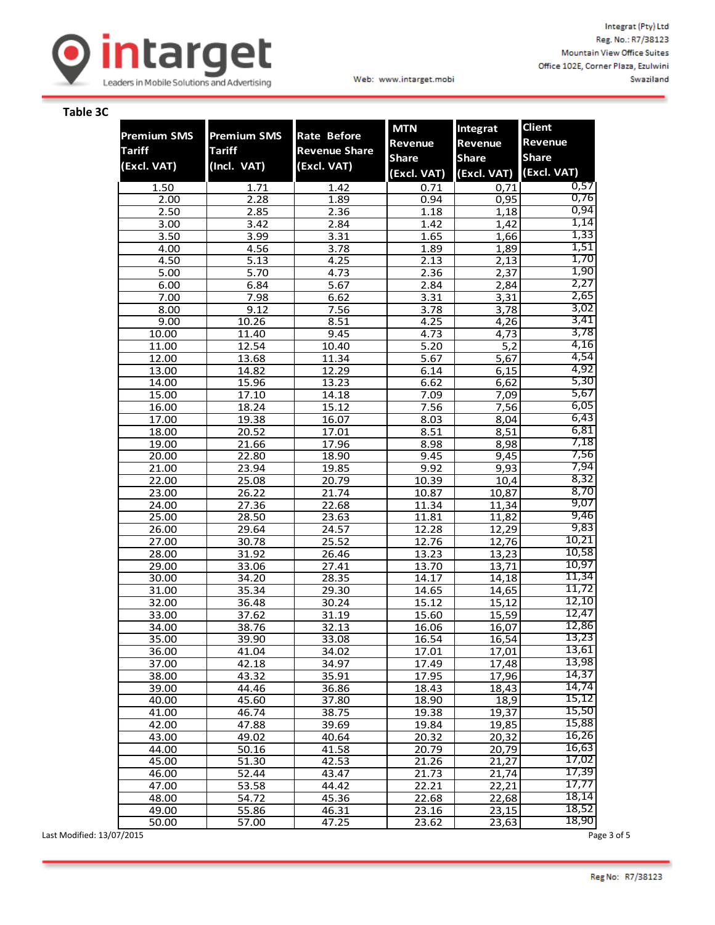

### **Table 3C**

|                    |                    |                      | <b>MTN</b>     | Integrat       | <b>Client</b>  |
|--------------------|--------------------|----------------------|----------------|----------------|----------------|
| <b>Premium SMS</b> | <b>Premium SMS</b> | <b>Rate Before</b>   | <b>Revenue</b> | <b>Revenue</b> | <b>Revenue</b> |
| <b>Tariff</b>      | <b>Tariff</b>      | <b>Revenue Share</b> | <b>Share</b>   | <b>Share</b>   | <b>Share</b>   |
| (Excl. VAT)        | (Incl. VAT)        | (Excl. VAT)          | (Excl. VAT)    | (Excl. VAT)    | (Excl. VAT)    |
|                    |                    |                      |                |                | 0,57           |
| 1.50<br>2.00       | 1.71<br>2.28       | 1.42<br>1.89         | 0.71<br>0.94   | 0,71<br>0,95   | 0,76           |
| 2.50               | 2.85               | 2.36                 | 1.18           | 1,18           | 0,94           |
| 3.00               | 3.42               | 2.84                 | 1.42           | 1,42           | 1,14           |
| 3.50               | 3.99               | 3.31                 | 1.65           | 1,66           | 1,33           |
| 4.00               | 4.56               | 3.78                 | 1.89           | 1,89           | 1,51           |
| 4.50               | 5.13               | 4.25                 | 2.13           | 2,13           | 1,70           |
| 5.00               | 5.70               | 4.73                 | 2.36           | 2,37           | 1,90           |
| 6.00               | 6.84               | 5.67                 | 2.84           | 2,84           | 2,27           |
| 7.00               | 7.98               | 6.62                 | 3.31           | 3,31           | 2,65           |
| 8.00               | 9.12               | 7.56                 | 3.78           | 3,78           | 3,02           |
| 9.00               | 10.26              | 8.51                 | 4.25           | 4,26           | 3,41           |
| 10.00              | 11.40              | 9.45                 | 4.73           | 4,73           | 3,78           |
| 11.00              | 12.54              | 10.40                | 5.20           | 5,2            | 4,16           |
| 12.00              | 13.68              | 11.34                | 5.67           | 5,67           | 4,54           |
| 13.00              | 14.82              | 12.29                | 6.14           | 6,15           | 4,92           |
| 14.00              | 15.96              | 13.23                | 6.62           | 6,62           | 5,30<br>5,67   |
| 15.00              | 17.10              | 14.18                | 7.09           | 7,09           | 6,05           |
| 16.00<br>17.00     | 18.24              | 15.12<br>16.07       | 7.56<br>8.03   | 7,56<br>8,04   | 6,43           |
| 18.00              | 19.38<br>20.52     | 17.01                | 8.51           | 8,51           | 6,81           |
| 19.00              | 21.66              | 17.96                | 8.98           | 8,98           | 7,18           |
| 20.00              | 22.80              | 18.90                | 9.45           | 9,45           | 7,56           |
| 21.00              | 23.94              | 19.85                | 9.92           | 9,93           | 7,94           |
| 22.00              | 25.08              | 20.79                | 10.39          | 10,4           | 8,32           |
| 23.00              | 26.22              | 21.74                | 10.87          | 10,87          | 8,70           |
| 24.00              | 27.36              | 22.68                | 11.34          | 11,34          | 9,07           |
| 25.00              | 28.50              | 23.63                | 11.81          | 11,82          | 9,46           |
| 26.00              | 29.64              | 24.57                | 12.28          | 12,29          | 9,83           |
| 27.00              | 30.78              | 25.52                | 12.76          | 12,76          | 10,21          |
| 28.00              | 31.92              | 26.46                | 13.23          | 13,23          | 10,58          |
| 29.00              | 33.06              | 27.41                | 13.70          | 13,71          | 10,97          |
| 30.00              | 34.20              | 28.35                | 14.17          | 14,18          | 11,34          |
| 31.00              | 35.34              | 29.30                | 14.65          | 14,65          | 11,72<br>12,10 |
| 32.00              | 36.48              | 30.24                | 15.12          | 15,12          | 12,47          |
| 33.00              | 37.62              | 31.19                | 15.60          | 15,59          | 12,86          |
| 34.00<br>35.00     | 38.76<br>39.90     | 32.13<br>33.08       | 16.06<br>16.54 | 16,07<br>16,54 | 13,23          |
| 36.00              | 41.04              | 34.02                | 17.01          | 17,01          | 13,61          |
| 37.00              | 42.18              | 34.97                | 17.49          | 17,48          | 13,98          |
| 38.00              | 43.32              | 35.91                | 17.95          | 17,96          | 14,37          |
| 39.00              | 44.46              | 36.86                | 18.43          | 18,43          | 14,74          |
| 40.00              | 45.60              | 37.80                | 18.90          | 18,9           | 15,12          |
| 41.00              | 46.74              | 38.75                | 19.38          | 19,37          | 15,50          |
| 42.00              | 47.88              | 39.69                | 19.84          | 19,85          | 15,88          |
| 43.00              | 49.02              | 40.64                | 20.32          | 20,32          | 16,26          |
| 44.00              | 50.16              | 41.58                | 20.79          | 20,79          | 16,63          |
| 45.00              | 51.30              | 42.53                | 21.26          | 21,27          | 17,02          |
| 46.00              | 52.44              | 43.47                | 21.73          | 21,74          | 17,39          |
| 47.00              | 53.58              | 44.42                | 22.21          | 22,21          | 17,77          |
| 48.00              | 54.72              | 45.36                | 22.68          | 22,68          | 18,14          |
| 49.00              | 55.86              | 46.31                | 23.16          | 23,15          | 18,52          |
| 50.00              | 57.00              | 47.25                | 23.62          | 23,63          | 18,90          |

Last Modified: 13/07/2015 Page 3 of 5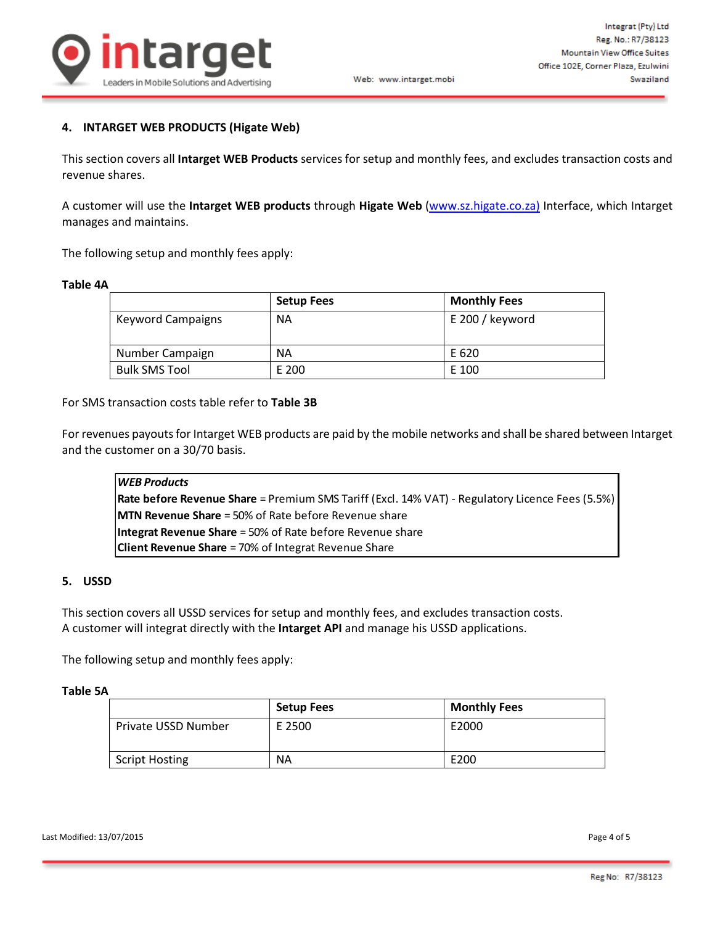

#### Web: www.intarget.mobi

## **4. INTARGET WEB PRODUCTS (Higate Web)**

This section covers all **Intarget WEB Products** services for setup and monthly fees, and excludes transaction costs and revenue shares.

A customer will use the **Intarget WEB products** through **Higate Web** [\(www.sz.higate.co.za\)](http://redbox.integrat.co.za/) Interface, which Intarget manages and maintains.

The following setup and monthly fees apply:

### **Table 4A**

|                          | <b>Setup Fees</b> | <b>Monthly Fees</b> |
|--------------------------|-------------------|---------------------|
| <b>Keyword Campaigns</b> | <b>NA</b>         | E 200 / keyword     |
| Number Campaign          | <b>NA</b>         | E 620               |
| <b>Bulk SMS Tool</b>     | E 200             | E 100               |

For SMS transaction costs table refer to **Table 3B**

For revenues payouts for Intarget WEB products are paid by the mobile networks and shall be shared between Intarget and the customer on a 30/70 basis.

| <b>WEB Products</b>                                                                             |
|-------------------------------------------------------------------------------------------------|
| Rate before Revenue Share = Premium SMS Tariff (Excl. 14% VAT) - Regulatory Licence Fees (5.5%) |
| <b>MTN Revenue Share</b> = 50% of Rate before Revenue share                                     |
| <b>Integrat Revenue Share</b> = 50% of Rate before Revenue share                                |
| <b>Client Revenue Share</b> = $70\%$ of Integrat Revenue Share                                  |

### **5. USSD**

This section covers all USSD services for setup and monthly fees, and excludes transaction costs. A customer will integrat directly with the **Intarget API** and manage his USSD applications.

The following setup and monthly fees apply:

#### **Table 5A**

|                       | <b>Setup Fees</b> | <b>Monthly Fees</b> |
|-----------------------|-------------------|---------------------|
| Private USSD Number   | E 2500            | E2000               |
| <b>Script Hosting</b> | ΝA                | E200                |